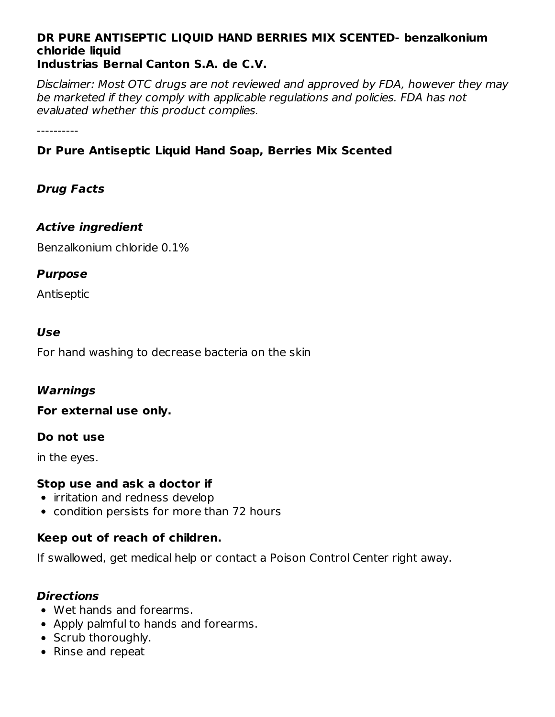#### **DR PURE ANTISEPTIC LIQUID HAND BERRIES MIX SCENTED- benzalkonium chloride liquid Industrias Bernal Canton S.A. de C.V.**

Disclaimer: Most OTC drugs are not reviewed and approved by FDA, however they may be marketed if they comply with applicable regulations and policies. FDA has not evaluated whether this product complies.

----------

## **Dr Pure Antiseptic Liquid Hand Soap, Berries Mix Scented**

## **Drug Facts**

## **Active ingredient**

Benzalkonium chloride 0.1%

## **Purpose**

Antiseptic

#### **Use**

For hand washing to decrease bacteria on the skin

## **Warnings**

**For external use only.**

## **Do not use**

in the eyes.

## **Stop use and ask a doctor if**

- irritation and redness develop
- condition persists for more than 72 hours

## **Keep out of reach of children.**

If swallowed, get medical help or contact a Poison Control Center right away.

## **Directions**

- Wet hands and forearms.
- Apply palmful to hands and forearms.
- Scrub thoroughly.
- Rinse and repeat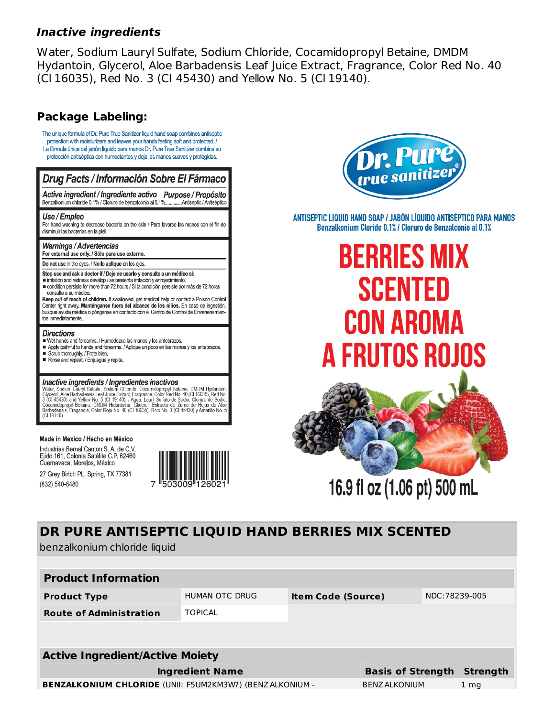#### **Inactive ingredients**

Water, Sodium Lauryl Sulfate, Sodium Chloride, Cocamidopropyl Betaine, DMDM Hydantoin, Glycerol, Aloe Barbadensis Leaf Juice Extract, Fragrance, Color Red No. 40 (CI 16035), Red No. 3 (CI 45430) and Yellow No. 5 (CI 19140).

#### **Package Labeling:**

The unique formula of Dr. Pure True Sanitizer liquid hand soap combines antiseptic protection with moisturizers and leaves your hands feeling soft and protected. / La fórmula única del jabón líquido para manos Dr. Pure True Sanitizer combina su protección antiséptica con humectantes y deja las manos suaves y protegidas.

#### Drug Facts / Información Sobre El Fármaco Active ingredient / Ingrediente activo Purpose / Propósito

Benzalkonium chloride 0.1% / Cloruro de benzalconio al 0.1%....... Antiseptic / Antiséptico

#### Use / Empleo

For hand washing to decrease bacteria on the skin / Para lavarse las manos con el fin de disminuir las bacterias en la piel.

#### **Warnings/Advertencias**

For external use only. / Sólo para uso externo.

Do not use in the eves. / No lo aplique en los ojos.

- Stop use and ask a doctor if / Deje de usarlo y consulte a un médico si:
- irritation and redness develop / se presenta irritación y enrojecimiento. condition persists for more than 72 hours / Si la condición persiste por más de 72 horas
- consulte a su médico. Keep out of reach of children. If swallowed, get medical help or contact a Poison Control

Center right away. Manténganse fuera del alcance de los niños. En caso de ingestión, busque ayuda médica o pónganse en contacto con el Centro de Control de Envenenamien tos inmediatamente.

#### **Directions**

- Wet hands and forearms. / Humedezca las manos y los antebrazos. Apply palmful to hands and forearms. / Aplique un poco en las manos y los antebrazos.
- Scrub thoroughly. / Frote bien.
- Rinse and repeat. / Enjuague y repita.

#### Inactive ingredients / Ingredientes inactivos

**FIRE UNIVERSITY IN SURFACE SOLUT CONSUMER CONSUMER SOLUT AND SURFACE SOLUT AND SURFACE SOLUT CONSUMER SOLUT CONSUMER SOLUT AND SURFACE SOLUT AND SURFACE SOLUT AND SURFACE OF SOLUT AND SURFACE CONSUMER SOLUT AND SOLUT AND** (CI 19140)

#### Made in Mexico / Hecho en México

Industrias Bernal Canton S. A. de C.V. Ejido 161, Colonia Satélite C.P. 62460 Cuernavaca, Morelos, México

27 Grey Birlch PL, Spring, TX 77381 (832) 540-8480





ANTISEPTIC LIQUID HAND SOAP / JABÓN LÍQUIDO ANTISÉPTICO PARA MANOS Benzalkonium Cloride 0.1% / Cloruro de Benzalconio al 0.1%

# **BERRIES MIX SCENTED CON AROMA** A FRUTOS ROJOS



# DR PURE ANTISEPTIC LIQUID HAND BERRIES MIX SCENTED benzalkonium chloride liquid

| <b>Product Information</b>                                      |                |                           |                          |                |                 |  |  |
|-----------------------------------------------------------------|----------------|---------------------------|--------------------------|----------------|-----------------|--|--|
| <b>Product Type</b>                                             | HUMAN OTC DRUG | <b>Item Code (Source)</b> |                          | NDC: 78239-005 |                 |  |  |
| <b>Route of Administration</b>                                  | <b>TOPICAL</b> |                           |                          |                |                 |  |  |
|                                                                 |                |                           |                          |                |                 |  |  |
| <b>Active Ingredient/Active Moiety</b>                          |                |                           |                          |                |                 |  |  |
| <b>Ingredient Name</b>                                          |                |                           | <b>Basis of Strength</b> |                | <b>Strength</b> |  |  |
| <b>BENZALKONIUM CHLORIDE (UNII: F5UM2KM3W7) (BENZALKONIUM -</b> |                |                           | <b>BENZ ALKONIUM</b>     |                | 1 <sub>mq</sub> |  |  |